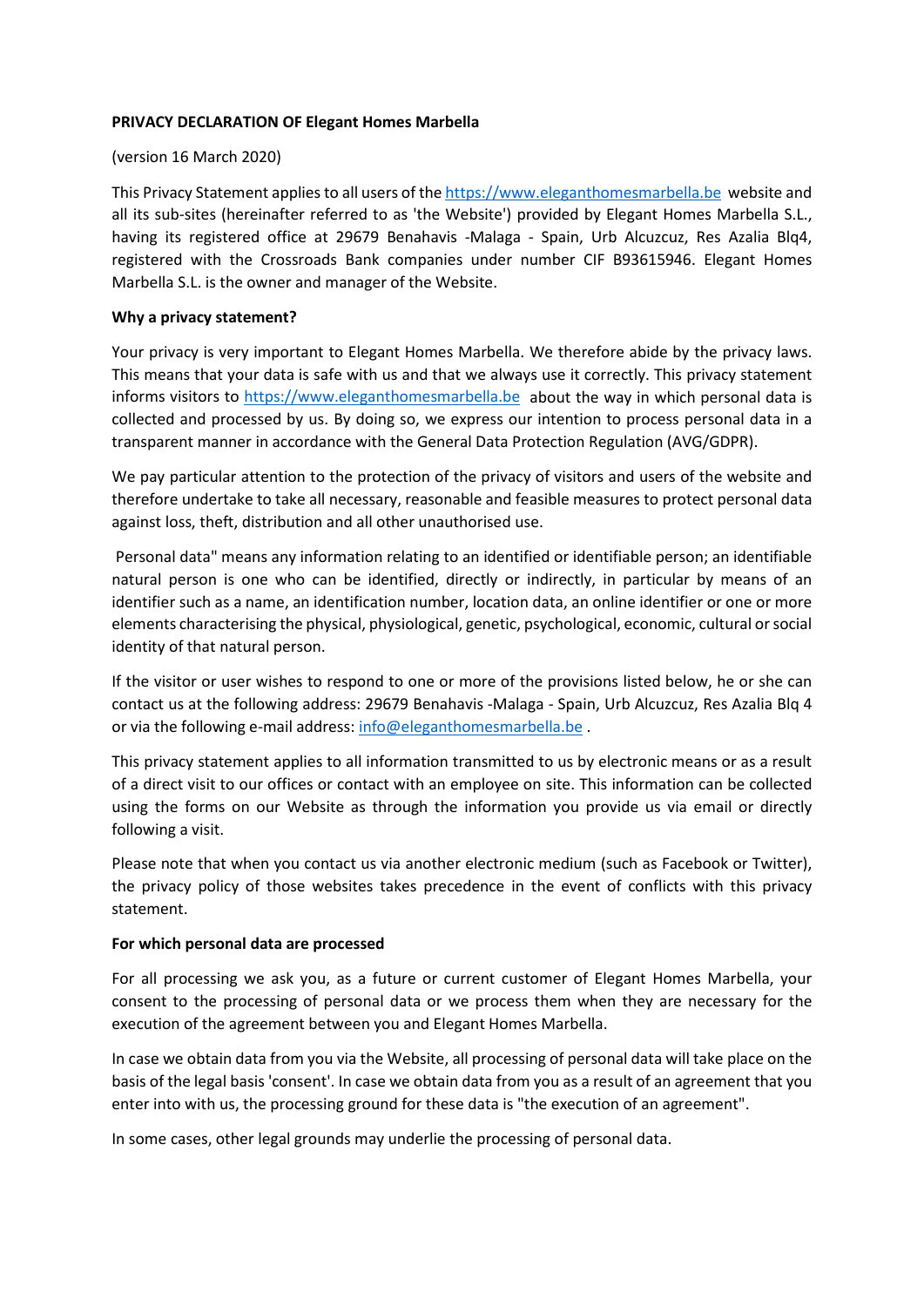## **PRIVACY DECLARATION OF Elegant Homes Marbella**

#### (version 16 March 2020)

This Privacy Statement applies to all users of the [https://www.eleganthomesmarbella.be](https://www.eleganthomesmarbella.be/) website and all its sub-sites (hereinafter referred to as 'the Website') provided by Elegant Homes Marbella S.L., having its registered office at 29679 Benahavis -Malaga - Spain, Urb Alcuzcuz, Res Azalia Blq4, registered with the Crossroads Bank companies under number CIF B93615946. Elegant Homes Marbella S.L. is the owner and manager of the Website.

## **Why a privacy statement?**

Your privacy is very important to Elegant Homes Marbella. We therefore abide by the privacy laws. This means that your data is safe with us and that we always use it correctly. This privacy statement informs visitors to [https://www.eleganthomesmarbella.be](https://www.eleganthomesmarbella.be/) about the way in which personal data is collected and processed by us. By doing so, we express our intention to process personal data in a transparent manner in accordance with the General Data Protection Regulation (AVG/GDPR).

We pay particular attention to the protection of the privacy of visitors and users of the website and therefore undertake to take all necessary, reasonable and feasible measures to protect personal data against loss, theft, distribution and all other unauthorised use.

Personal data" means any information relating to an identified or identifiable person; an identifiable natural person is one who can be identified, directly or indirectly, in particular by means of an identifier such as a name, an identification number, location data, an online identifier or one or more elements characterising the physical, physiological, genetic, psychological, economic, cultural or social identity of that natural person.

If the visitor or user wishes to respond to one or more of the provisions listed below, he or she can contact us at the following address: 29679 Benahavis -Malaga - Spain, Urb Alcuzcuz, Res Azalia Blq 4 or via the following e-mail address: [info@eleganthomesmarbella.be](mailto:info@eleganthomesmarbella.be) .

This privacy statement applies to all information transmitted to us by electronic means or as a result of a direct visit to our offices or contact with an employee on site. This information can be collected using the forms on our Website as through the information you provide us via email or directly following a visit.

Please note that when you contact us via another electronic medium (such as Facebook or Twitter), the privacy policy of those websites takes precedence in the event of conflicts with this privacy statement.

## **For which personal data are processed**

For all processing we ask you, as a future or current customer of Elegant Homes Marbella, your consent to the processing of personal data or we process them when they are necessary for the execution of the agreement between you and Elegant Homes Marbella.

In case we obtain data from you via the Website, all processing of personal data will take place on the basis of the legal basis 'consent'. In case we obtain data from you as a result of an agreement that you enter into with us, the processing ground for these data is "the execution of an agreement".

In some cases, other legal grounds may underlie the processing of personal data.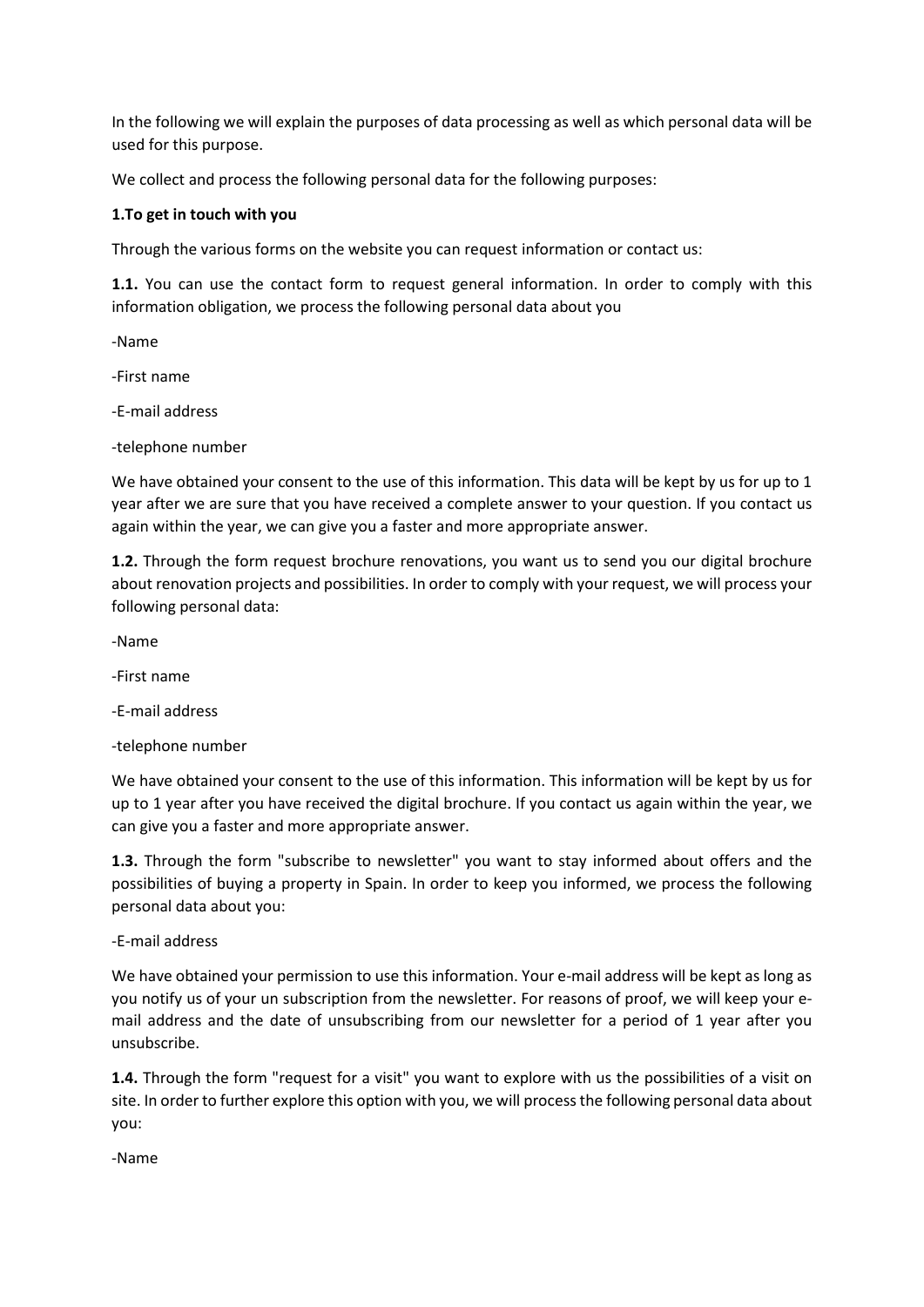In the following we will explain the purposes of data processing as well as which personal data will be used for this purpose.

We collect and process the following personal data for the following purposes:

# **1.To get in touch with you**

Through the various forms on the website you can request information or contact us:

**1.1.** You can use the contact form to request general information. In order to comply with this information obligation, we process the following personal data about you

-Name

-First name

-E-mail address

-telephone number

We have obtained your consent to the use of this information. This data will be kept by us for up to 1 year after we are sure that you have received a complete answer to your question. If you contact us again within the year, we can give you a faster and more appropriate answer.

**1.2.** Through the form request brochure renovations, you want us to send you our digital brochure about renovation projects and possibilities. In order to comply with your request, we will process your following personal data:

-Name

-First name

-E-mail address

-telephone number

We have obtained your consent to the use of this information. This information will be kept by us for up to 1 year after you have received the digital brochure. If you contact us again within the year, we can give you a faster and more appropriate answer.

**1.3.** Through the form "subscribe to newsletter" you want to stay informed about offers and the possibilities of buying a property in Spain. In order to keep you informed, we process the following personal data about you:

-E-mail address

We have obtained your permission to use this information. Your e-mail address will be kept as long as you notify us of your un subscription from the newsletter. For reasons of proof, we will keep your email address and the date of unsubscribing from our newsletter for a period of 1 year after you unsubscribe.

**1.4.** Through the form "request for a visit" you want to explore with us the possibilities of a visit on site. In order to further explore this option with you, we will process the following personal data about you:

-Name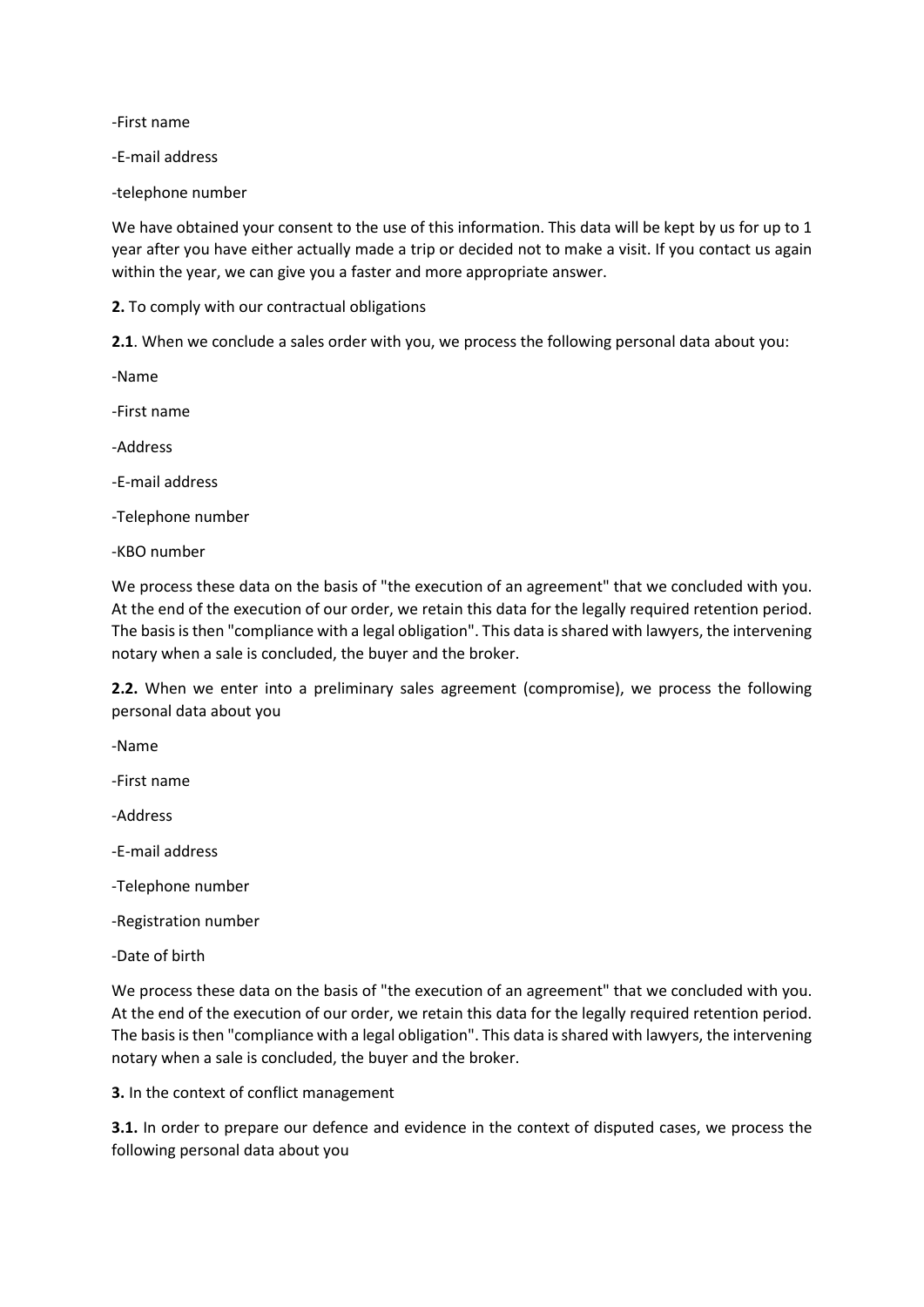-First name

-E-mail address

-telephone number

We have obtained your consent to the use of this information. This data will be kept by us for up to 1 year after you have either actually made a trip or decided not to make a visit. If you contact us again within the year, we can give you a faster and more appropriate answer.

**2.** To comply with our contractual obligations

**2.1**. When we conclude a sales order with you, we process the following personal data about you:

-Name

-First name

-Address

-E-mail address

-Telephone number

-KBO number

We process these data on the basis of "the execution of an agreement" that we concluded with you. At the end of the execution of our order, we retain this data for the legally required retention period. The basis is then "compliance with a legal obligation". This data is shared with lawyers, the intervening notary when a sale is concluded, the buyer and the broker.

**2.2.** When we enter into a preliminary sales agreement (compromise), we process the following personal data about you

-Name

-First name

-Address

-E-mail address

- -Telephone number
- -Registration number
- -Date of birth

We process these data on the basis of "the execution of an agreement" that we concluded with you. At the end of the execution of our order, we retain this data for the legally required retention period. The basis is then "compliance with a legal obligation". This data is shared with lawyers, the intervening notary when a sale is concluded, the buyer and the broker.

**3.** In the context of conflict management

**3.1.** In order to prepare our defence and evidence in the context of disputed cases, we process the following personal data about you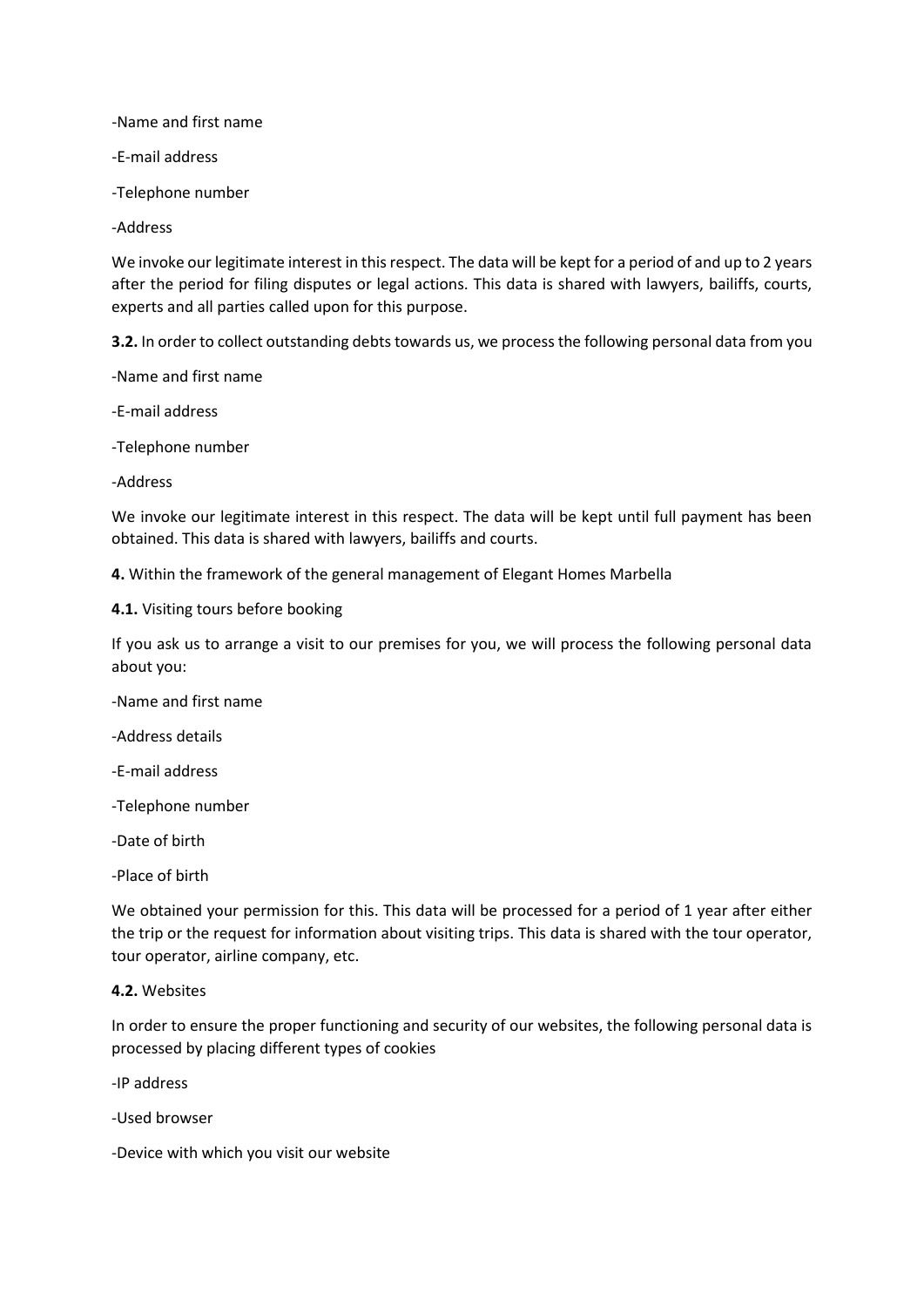-Name and first name

-E-mail address

-Telephone number

-Address

We invoke our legitimate interest in this respect. The data will be kept for a period of and up to 2 years after the period for filing disputes or legal actions. This data is shared with lawyers, bailiffs, courts, experts and all parties called upon for this purpose.

**3.2.** In order to collect outstanding debts towards us, we process the following personal data from you

-Name and first name

-E-mail address

-Telephone number

-Address

We invoke our legitimate interest in this respect. The data will be kept until full payment has been obtained. This data is shared with lawyers, bailiffs and courts.

**4.** Within the framework of the general management of Elegant Homes Marbella

**4.1.** Visiting tours before booking

If you ask us to arrange a visit to our premises for you, we will process the following personal data about you:

-Name and first name

-Address details

-E-mail address

-Telephone number

-Date of birth

-Place of birth

We obtained your permission for this. This data will be processed for a period of 1 year after either the trip or the request for information about visiting trips. This data is shared with the tour operator, tour operator, airline company, etc.

#### **4.2.** Websites

In order to ensure the proper functioning and security of our websites, the following personal data is processed by placing different types of cookies

-IP address

-Used browser

-Device with which you visit our website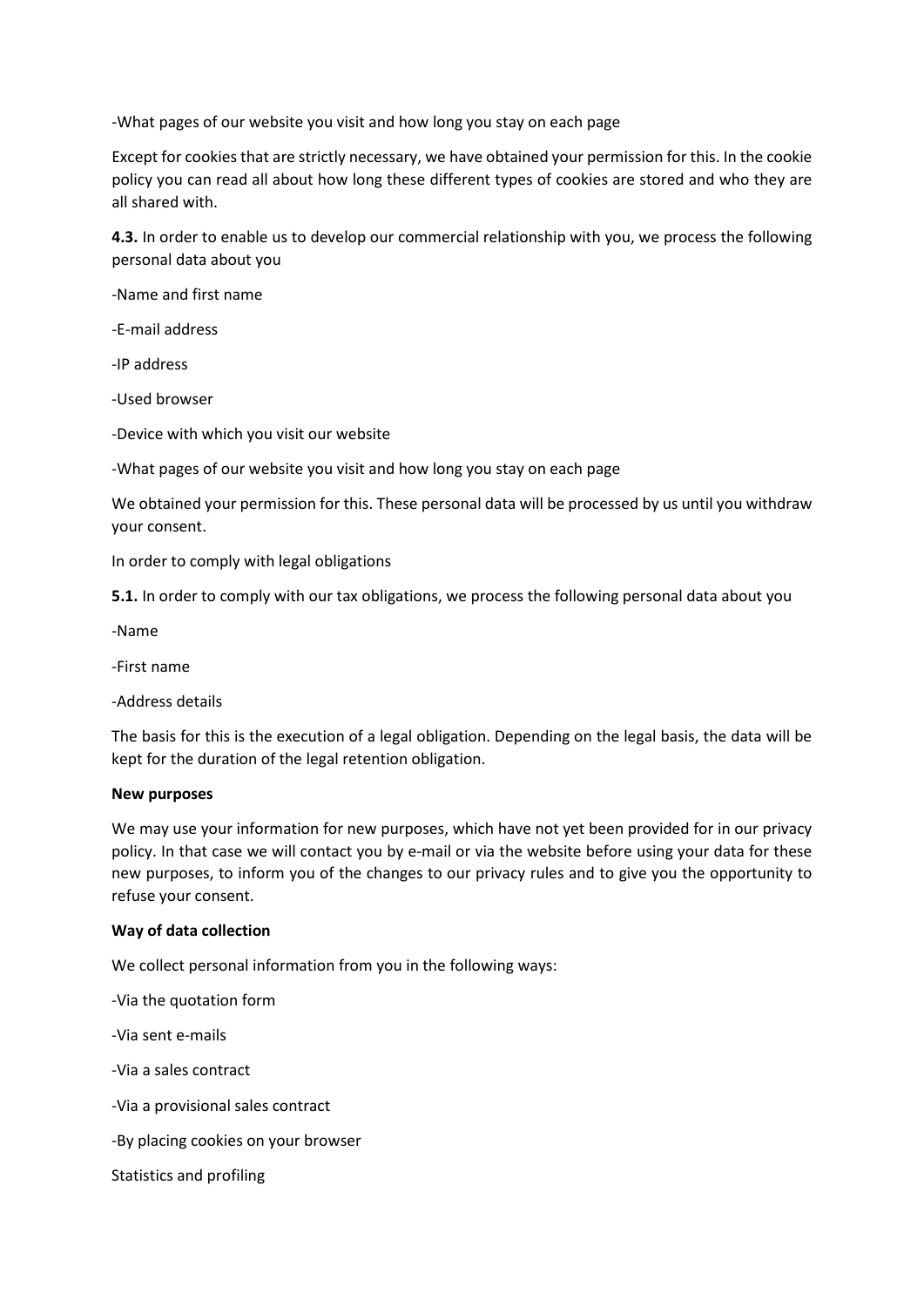-What pages of our website you visit and how long you stay on each page

Except for cookies that are strictly necessary, we have obtained your permission for this. In the cookie policy you can read all about how long these different types of cookies are stored and who they are all shared with.

**4.3.** In order to enable us to develop our commercial relationship with you, we process the following personal data about you

-Name and first name

-E-mail address

-IP address

-Used browser

-Device with which you visit our website

-What pages of our website you visit and how long you stay on each page

We obtained your permission for this. These personal data will be processed by us until you withdraw your consent.

In order to comply with legal obligations

**5.1.** In order to comply with our tax obligations, we process the following personal data about you

-Name

-First name

-Address details

The basis for this is the execution of a legal obligation. Depending on the legal basis, the data will be kept for the duration of the legal retention obligation.

## **New purposes**

We may use your information for new purposes, which have not yet been provided for in our privacy policy. In that case we will contact you by e-mail or via the website before using your data for these new purposes, to inform you of the changes to our privacy rules and to give you the opportunity to refuse your consent.

## **Way of data collection**

We collect personal information from you in the following ways:

-Via the quotation form

-Via sent e-mails

-Via a sales contract

-Via a provisional sales contract

-By placing cookies on your browser

Statistics and profiling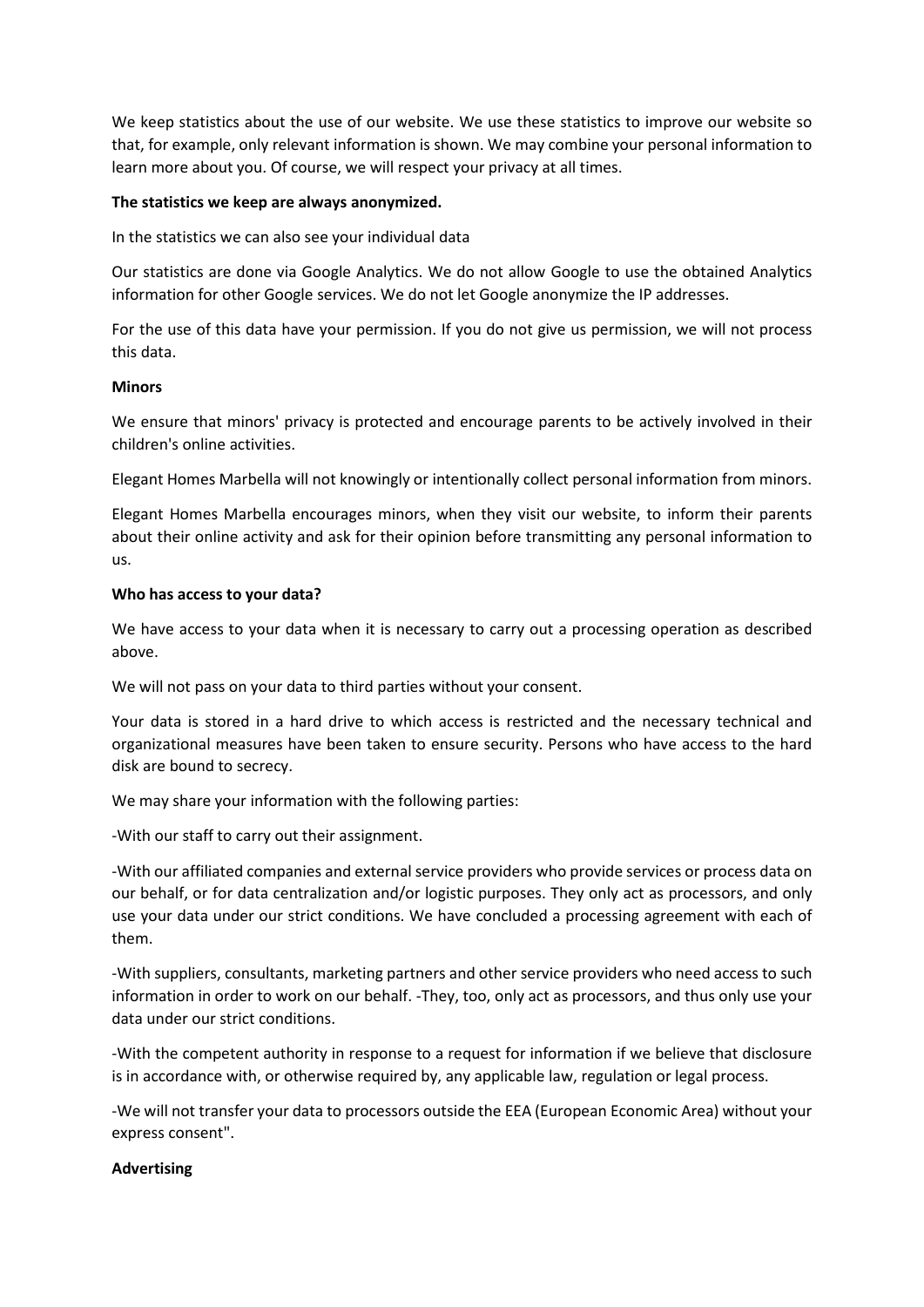We keep statistics about the use of our website. We use these statistics to improve our website so that, for example, only relevant information is shown. We may combine your personal information to learn more about you. Of course, we will respect your privacy at all times.

## **The statistics we keep are always anonymized.**

In the statistics we can also see your individual data

Our statistics are done via Google Analytics. We do not allow Google to use the obtained Analytics information for other Google services. We do not let Google anonymize the IP addresses.

For the use of this data have your permission. If you do not give us permission, we will not process this data.

## **Minors**

We ensure that minors' privacy is protected and encourage parents to be actively involved in their children's online activities.

Elegant Homes Marbella will not knowingly or intentionally collect personal information from minors.

Elegant Homes Marbella encourages minors, when they visit our website, to inform their parents about their online activity and ask for their opinion before transmitting any personal information to us.

## **Who has access to your data?**

We have access to your data when it is necessary to carry out a processing operation as described above.

We will not pass on your data to third parties without your consent.

Your data is stored in a hard drive to which access is restricted and the necessary technical and organizational measures have been taken to ensure security. Persons who have access to the hard disk are bound to secrecy.

We may share your information with the following parties:

-With our staff to carry out their assignment.

-With our affiliated companies and external service providers who provide services or process data on our behalf, or for data centralization and/or logistic purposes. They only act as processors, and only use your data under our strict conditions. We have concluded a processing agreement with each of them.

-With suppliers, consultants, marketing partners and other service providers who need access to such information in order to work on our behalf. -They, too, only act as processors, and thus only use your data under our strict conditions.

-With the competent authority in response to a request for information if we believe that disclosure is in accordance with, or otherwise required by, any applicable law, regulation or legal process.

-We will not transfer your data to processors outside the EEA (European Economic Area) without your express consent".

## **Advertising**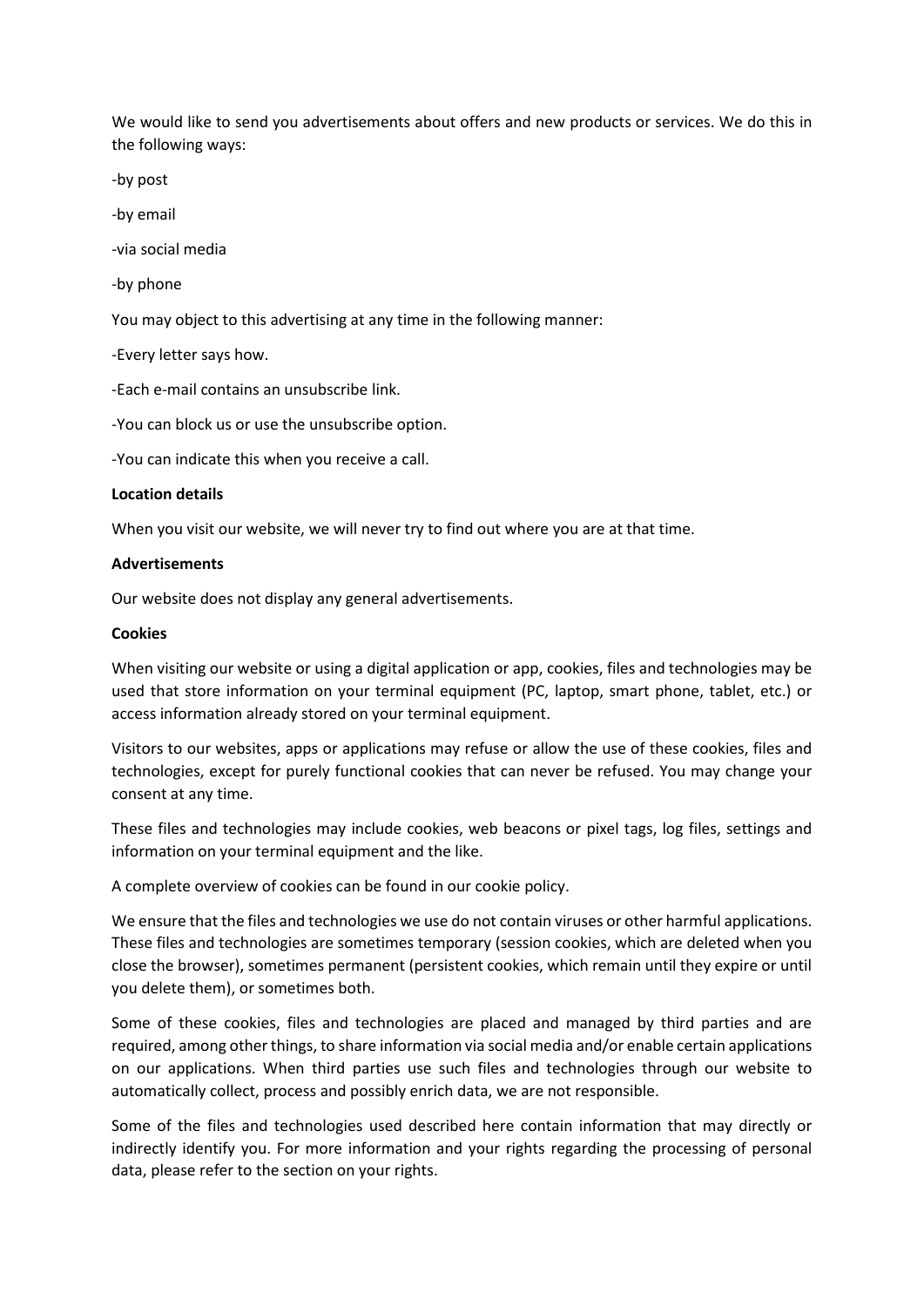We would like to send you advertisements about offers and new products or services. We do this in the following ways:

-by post

-by email

-via social media

-by phone

You may object to this advertising at any time in the following manner:

-Every letter says how.

-Each e-mail contains an unsubscribe link.

-You can block us or use the unsubscribe option.

-You can indicate this when you receive a call.

#### **Location details**

When you visit our website, we will never try to find out where you are at that time.

#### **Advertisements**

Our website does not display any general advertisements.

#### **Cookies**

When visiting our website or using a digital application or app, cookies, files and technologies may be used that store information on your terminal equipment (PC, laptop, smart phone, tablet, etc.) or access information already stored on your terminal equipment.

Visitors to our websites, apps or applications may refuse or allow the use of these cookies, files and technologies, except for purely functional cookies that can never be refused. You may change your consent at any time.

These files and technologies may include cookies, web beacons or pixel tags, log files, settings and information on your terminal equipment and the like.

A complete overview of cookies can be found in our cookie policy.

We ensure that the files and technologies we use do not contain viruses or other harmful applications. These files and technologies are sometimes temporary (session cookies, which are deleted when you close the browser), sometimes permanent (persistent cookies, which remain until they expire or until you delete them), or sometimes both.

Some of these cookies, files and technologies are placed and managed by third parties and are required, among other things, to share information via social media and/or enable certain applications on our applications. When third parties use such files and technologies through our website to automatically collect, process and possibly enrich data, we are not responsible.

Some of the files and technologies used described here contain information that may directly or indirectly identify you. For more information and your rights regarding the processing of personal data, please refer to the section on your rights.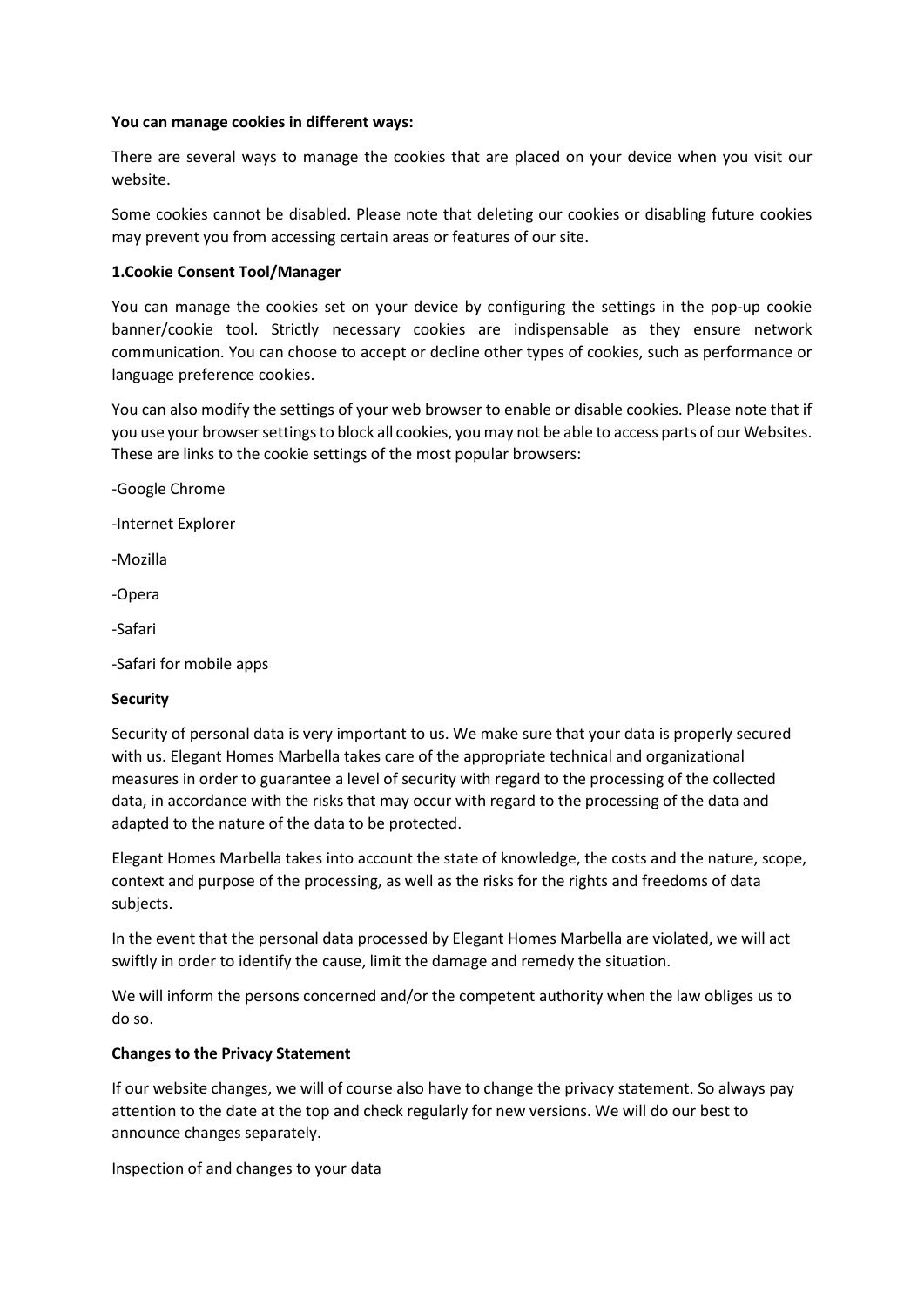## **You can manage cookies in different ways:**

There are several ways to manage the cookies that are placed on your device when you visit our website.

Some cookies cannot be disabled. Please note that deleting our cookies or disabling future cookies may prevent you from accessing certain areas or features of our site.

## **1.Cookie Consent Tool/Manager**

You can manage the cookies set on your device by configuring the settings in the pop-up cookie banner/cookie tool. Strictly necessary cookies are indispensable as they ensure network communication. You can choose to accept or decline other types of cookies, such as performance or language preference cookies.

You can also modify the settings of your web browser to enable or disable cookies. Please note that if you use your browser settings to block all cookies, you may not be able to access parts of our Websites. These are links to the cookie settings of the most popular browsers:

-Google Chrome

-Internet Explorer

-Mozilla

-Opera

-Safari

-Safari for mobile apps

#### **Security**

Security of personal data is very important to us. We make sure that your data is properly secured with us. Elegant Homes Marbella takes care of the appropriate technical and organizational measures in order to guarantee a level of security with regard to the processing of the collected data, in accordance with the risks that may occur with regard to the processing of the data and adapted to the nature of the data to be protected.

Elegant Homes Marbella takes into account the state of knowledge, the costs and the nature, scope, context and purpose of the processing, as well as the risks for the rights and freedoms of data subjects.

In the event that the personal data processed by Elegant Homes Marbella are violated, we will act swiftly in order to identify the cause, limit the damage and remedy the situation.

We will inform the persons concerned and/or the competent authority when the law obliges us to do so.

## **Changes to the Privacy Statement**

If our website changes, we will of course also have to change the privacy statement. So always pay attention to the date at the top and check regularly for new versions. We will do our best to announce changes separately.

Inspection of and changes to your data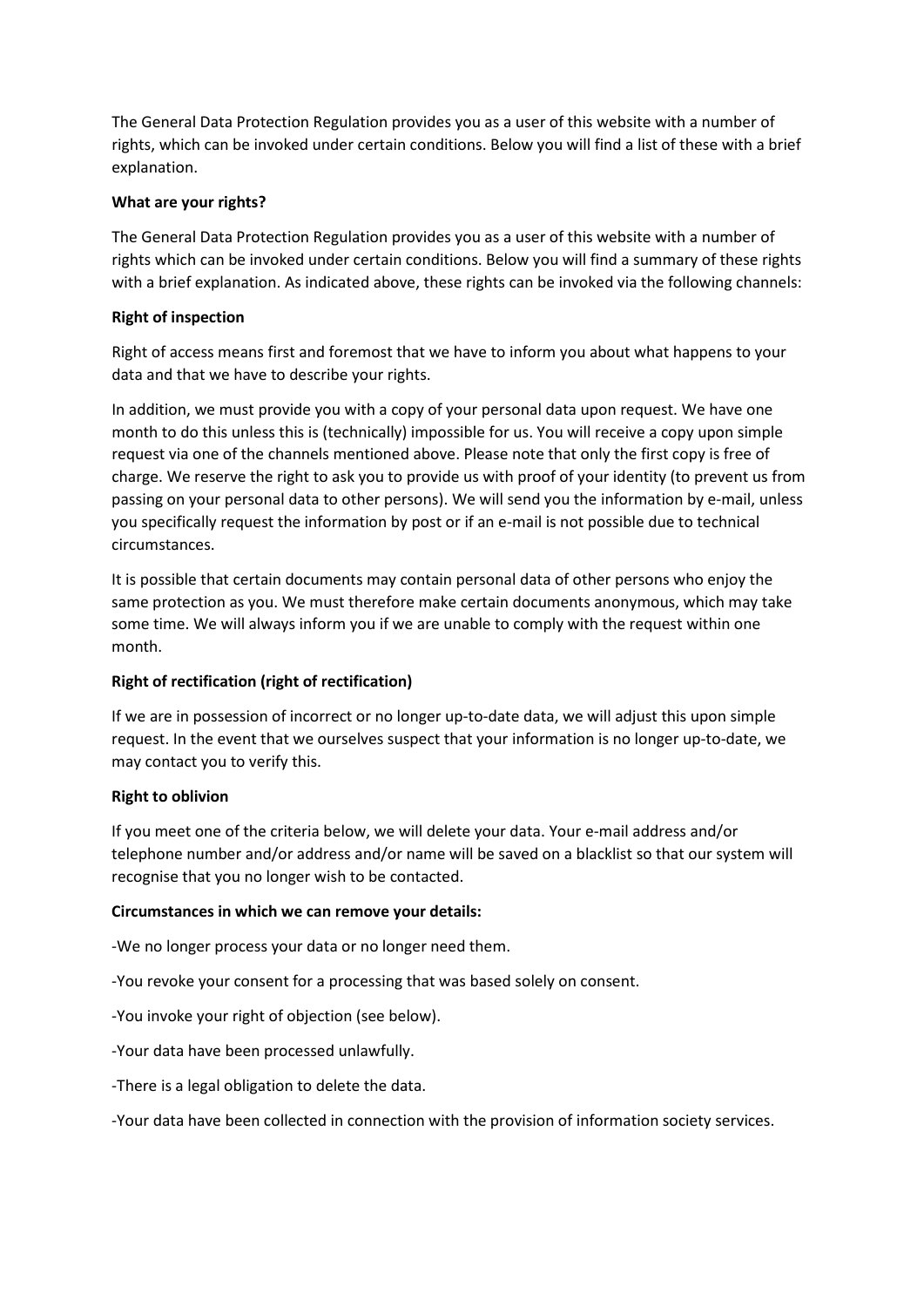The General Data Protection Regulation provides you as a user of this website with a number of rights, which can be invoked under certain conditions. Below you will find a list of these with a brief explanation.

## **What are your rights?**

The General Data Protection Regulation provides you as a user of this website with a number of rights which can be invoked under certain conditions. Below you will find a summary of these rights with a brief explanation. As indicated above, these rights can be invoked via the following channels:

## **Right of inspection**

Right of access means first and foremost that we have to inform you about what happens to your data and that we have to describe your rights.

In addition, we must provide you with a copy of your personal data upon request. We have one month to do this unless this is (technically) impossible for us. You will receive a copy upon simple request via one of the channels mentioned above. Please note that only the first copy is free of charge. We reserve the right to ask you to provide us with proof of your identity (to prevent us from passing on your personal data to other persons). We will send you the information by e-mail, unless you specifically request the information by post or if an e-mail is not possible due to technical circumstances.

It is possible that certain documents may contain personal data of other persons who enjoy the same protection as you. We must therefore make certain documents anonymous, which may take some time. We will always inform you if we are unable to comply with the request within one month.

# **Right of rectification (right of rectification)**

If we are in possession of incorrect or no longer up-to-date data, we will adjust this upon simple request. In the event that we ourselves suspect that your information is no longer up-to-date, we may contact you to verify this.

## **Right to oblivion**

If you meet one of the criteria below, we will delete your data. Your e-mail address and/or telephone number and/or address and/or name will be saved on a blacklist so that our system will recognise that you no longer wish to be contacted.

## **Circumstances in which we can remove your details:**

-We no longer process your data or no longer need them.

-You revoke your consent for a processing that was based solely on consent.

-You invoke your right of objection (see below).

-Your data have been processed unlawfully.

-There is a legal obligation to delete the data.

-Your data have been collected in connection with the provision of information society services.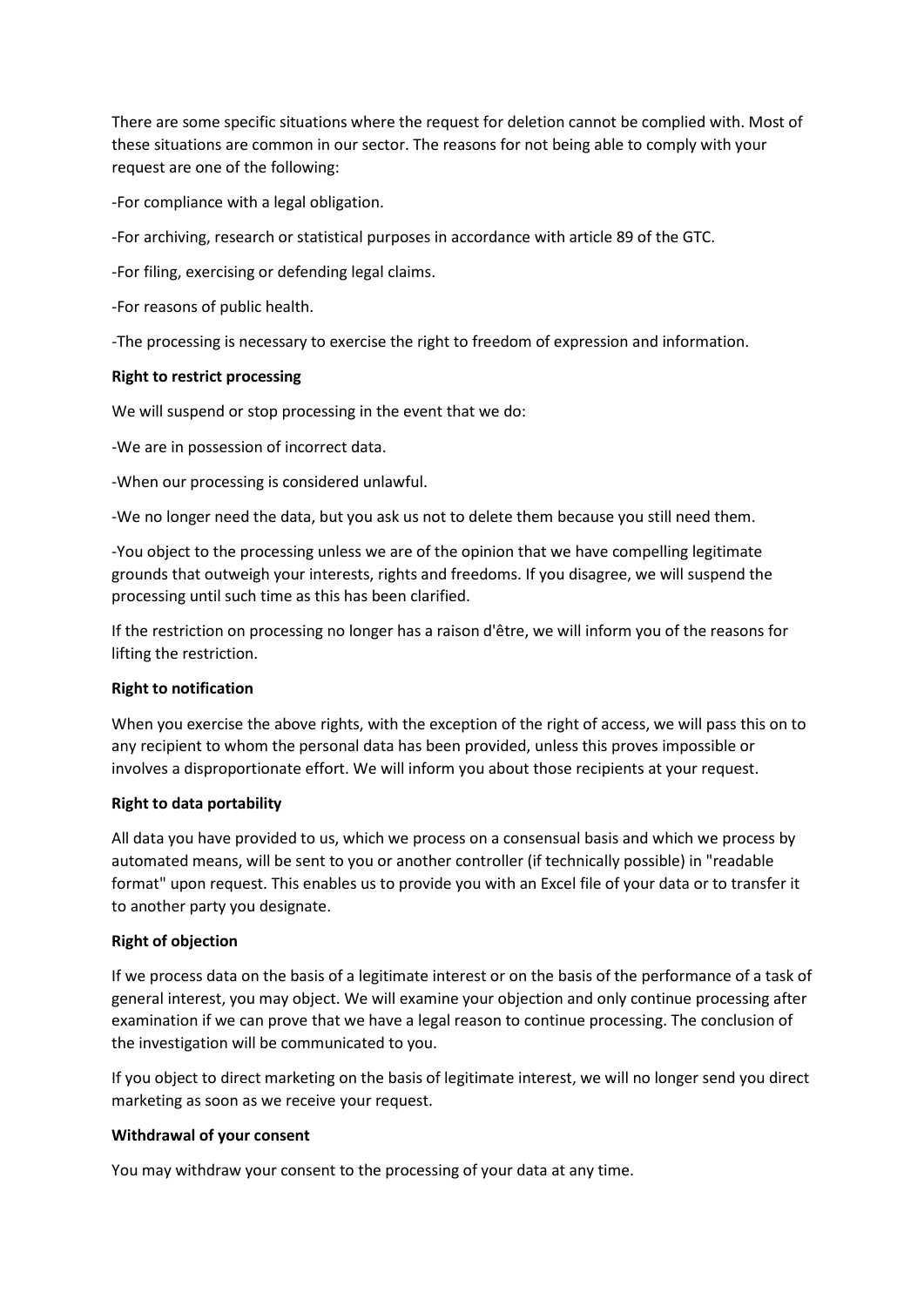There are some specific situations where the request for deletion cannot be complied with. Most of these situations are common in our sector. The reasons for not being able to comply with your request are one of the following:

-For compliance with a legal obligation.

-For archiving, research or statistical purposes in accordance with article 89 of the GTC.

-For filing, exercising or defending legal claims.

-For reasons of public health.

-The processing is necessary to exercise the right to freedom of expression and information.

## **Right to restrict processing**

We will suspend or stop processing in the event that we do:

-We are in possession of incorrect data.

-When our processing is considered unlawful.

-We no longer need the data, but you ask us not to delete them because you still need them.

-You object to the processing unless we are of the opinion that we have compelling legitimate grounds that outweigh your interests, rights and freedoms. If you disagree, we will suspend the processing until such time as this has been clarified.

If the restriction on processing no longer has a raison d'être, we will inform you of the reasons for lifting the restriction.

## **Right to notification**

When you exercise the above rights, with the exception of the right of access, we will pass this on to any recipient to whom the personal data has been provided, unless this proves impossible or involves a disproportionate effort. We will inform you about those recipients at your request.

## **Right to data portability**

All data you have provided to us, which we process on a consensual basis and which we process by automated means, will be sent to you or another controller (if technically possible) in "readable format" upon request. This enables us to provide you with an Excel file of your data or to transfer it to another party you designate.

## **Right of objection**

If we process data on the basis of a legitimate interest or on the basis of the performance of a task of general interest, you may object. We will examine your objection and only continue processing after examination if we can prove that we have a legal reason to continue processing. The conclusion of the investigation will be communicated to you.

If you object to direct marketing on the basis of legitimate interest, we will no longer send you direct marketing as soon as we receive your request.

## **Withdrawal of your consent**

You may withdraw your consent to the processing of your data at any time.